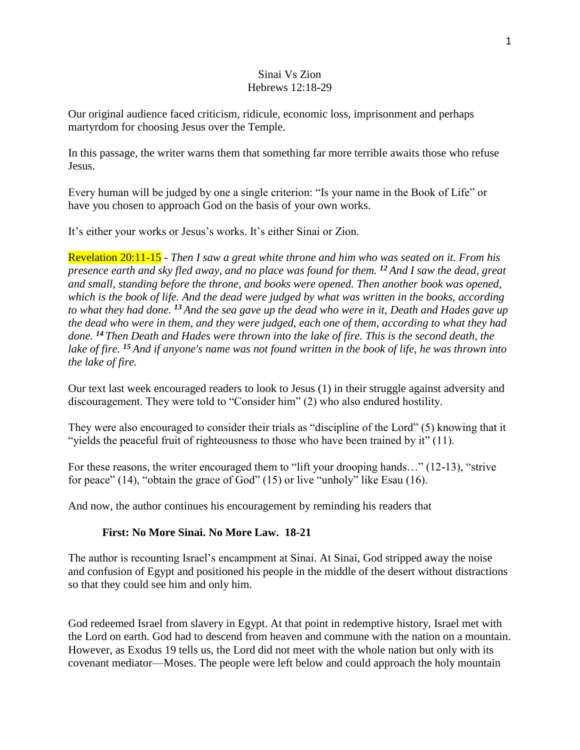## Sinai Vs Zion Hebrews 12:18-29

Our original audience faced criticism, ridicule, economic loss, imprisonment and perhaps martyrdom for choosing Jesus over the Temple.

In this passage, the writer warns them that something far more terrible awaits those who refuse Jesus.

Every human will be judged by one a single criterion: "Is your name in the Book of Life" or have you chosen to approach God on the basis of your own works.

It's either your works or Jesus's works. It's either Sinai or Zion.

Revelation 20:11-15 - *Then I saw a great white throne and him who was seated on it. From his presence earth and sky fled away, and no place was found for them. <sup>12</sup> And I saw the dead, great and small, standing before the throne, and books were opened. Then another book was opened, which is the book of life. And the dead were judged by what was written in the books, according to what they had done. <sup>13</sup> And the sea gave up the dead who were in it, Death and Hades gave up the dead who were in them, and they were judged, each one of them, according to what they had done. <sup>14</sup> Then Death and Hades were thrown into the lake of fire. This is the second death, the lake of fire. <sup>15</sup> And if anyone's name was not found written in the book of life, he was thrown into the lake of fire.*

Our text last week encouraged readers to look to Jesus (1) in their struggle against adversity and discouragement. They were told to "Consider him" (2) who also endured hostility.

They were also encouraged to consider their trials as "discipline of the Lord" (5) knowing that it "yields the peaceful fruit of righteousness to those who have been trained by it" (11).

For these reasons, the writer encouraged them to "lift your drooping hands…" (12-13), "strive for peace" (14), "obtain the grace of God" (15) or live "unholy" like Esau (16).

And now, the author continues his encouragement by reminding his readers that

## **First: No More Sinai. No More Law. 18-21**

The author is recounting Israel's encampment at Sinai. At Sinai, God stripped away the noise and confusion of Egypt and positioned his people in the middle of the desert without distractions so that they could see him and only him.

God redeemed Israel from slavery in Egypt. At that point in redemptive history, Israel met with the Lord on earth. God had to descend from heaven and commune with the nation on a mountain. However, as Exodus 19 tells us, the Lord did not meet with the whole nation but only with its covenant mediator—Moses. The people were left below and could approach the holy mountain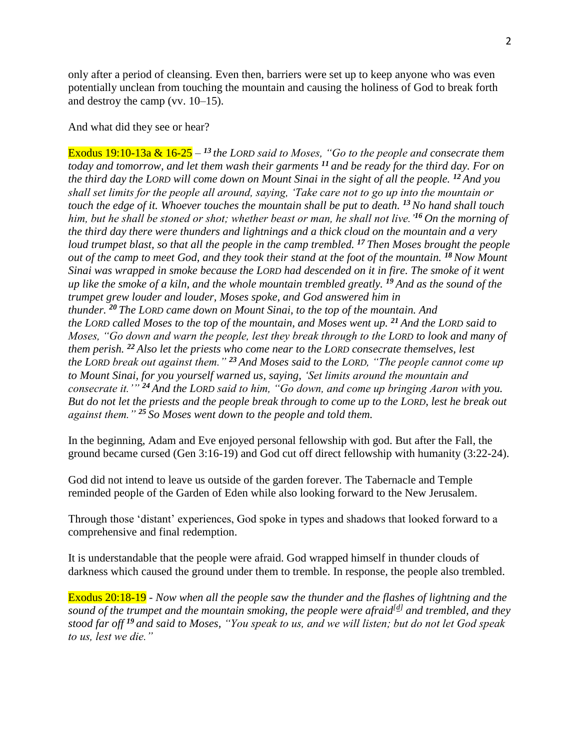only after a period of cleansing. Even then, barriers were set up to keep anyone who was even potentially unclean from touching the mountain and causing the holiness of God to break forth and destroy the camp (vv. 10–15).

And what did they see or hear?

Exodus 19:10-13a & 16-25 – *<sup>13</sup>the LORD said to Moses, "Go to the people and consecrate them today and tomorrow, and let them wash their garments <sup>11</sup> and be ready for the third day. For on the third day the LORD will come down on Mount Sinai in the sight of all the people. <sup>12</sup> And you shall set limits for the people all around, saying, 'Take care not to go up into the mountain or touch the edge of it. Whoever touches the mountain shall be put to death. <sup>13</sup>No hand shall touch him, but he shall be stoned or shot; whether beast or man, he shall not live.'<sup>16</sup> On the morning of the third day there were thunders and lightnings and a thick cloud on the mountain and a very loud trumpet blast, so that all the people in the camp trembled. <sup>17</sup> Then Moses brought the people out of the camp to meet God, and they took their stand at the foot of the mountain. <sup>18</sup> Now Mount Sinai was wrapped in smoke because the LORD had descended on it in fire. The smoke of it went up like the smoke of a kiln, and the whole mountain trembled greatly. <sup>19</sup> And as the sound of the trumpet grew louder and louder, Moses spoke, and God answered him in thunder. <sup>20</sup> The LORD came down on Mount Sinai, to the top of the mountain. And the LORD called Moses to the top of the mountain, and Moses went up. <sup>21</sup> And the LORD said to Moses, "Go down and warn the people, lest they break through to the LORD to look and many of them perish. <sup>22</sup> Also let the priests who come near to the LORD consecrate themselves, lest the LORD break out against them." <sup>23</sup> And Moses said to the LORD, "The people cannot come up to Mount Sinai, for you yourself warned us, saying, 'Set limits around the mountain and consecrate it.'" <sup>24</sup> And the LORD said to him, "Go down, and come up bringing Aaron with you. But do not let the priests and the people break through to come up to the LORD, lest he break out against them." <sup>25</sup> So Moses went down to the people and told them.*

In the beginning, Adam and Eve enjoyed personal fellowship with god. But after the Fall, the ground became cursed (Gen 3:16-19) and God cut off direct fellowship with humanity (3:22-24).

God did not intend to leave us outside of the garden forever. The Tabernacle and Temple reminded people of the Garden of Eden while also looking forward to the New Jerusalem.

Through those 'distant' experiences, God spoke in types and shadows that looked forward to a comprehensive and final redemption.

It is understandable that the people were afraid. God wrapped himself in thunder clouds of darkness which caused the ground under them to tremble. In response, the people also trembled.

Exodus 20:18-19 - *Now when all the people saw the thunder and the flashes of lightning and the sound of the trumpet and the mountain smoking, the people were afraid[\[d\]](https://www.biblegateway.com/passage/?search=exodus+20&version=ESV#fen-ESV-2070d) and trembled, and they stood far off <sup>19</sup> and said to Moses, "You speak to us, and we will listen; but do not let God speak to us, lest we die."*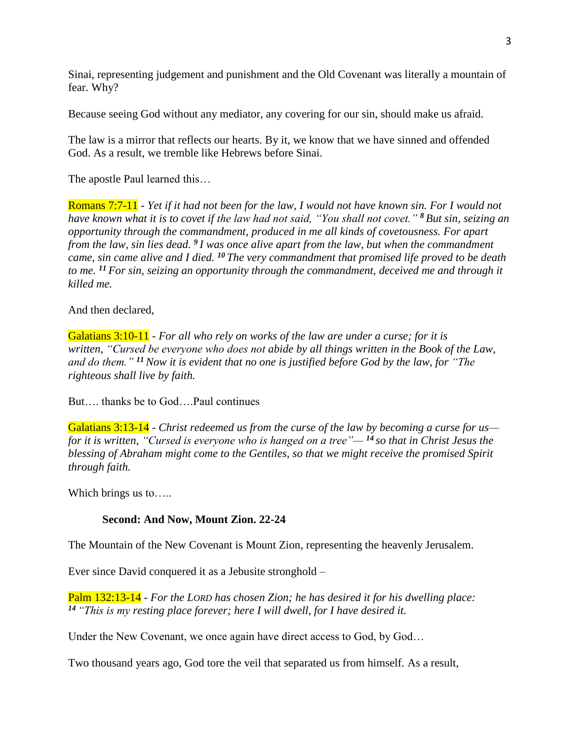Sinai, representing judgement and punishment and the Old Covenant was literally a mountain of fear. Why?

Because seeing God without any mediator, any covering for our sin, should make us afraid.

The law is a mirror that reflects our hearts. By it, we know that we have sinned and offended God. As a result, we tremble like Hebrews before Sinai.

The apostle Paul learned this…

Romans 7:7-11 - *Yet if it had not been for the law, I would not have known sin. For I would not have known what it is to covet if the law had not said, "You shall not covet." <sup>8</sup> But sin, seizing an opportunity through the commandment, produced in me all kinds of covetousness. For apart from the law, sin lies dead. <sup>9</sup> I was once alive apart from the law, but when the commandment came, sin came alive and I died. <sup>10</sup> The very commandment that promised life proved to be death to me. <sup>11</sup> For sin, seizing an opportunity through the commandment, deceived me and through it killed me.*

## And then declared,

Galatians 3:10-11 - *For all who rely on works of the law are under a curse; for it is written, "Cursed be everyone who does not abide by all things written in the Book of the Law, and do them." <sup>11</sup>Now it is evident that no one is justified before God by the law, for "The righteous shall live by faith.*

But…. thanks be to God….Paul continues

Galatians 3:13-14 - *Christ redeemed us from the curse of the law by becoming a curse for us for it is written, "Cursed is everyone who is hanged on a tree"— <sup>14</sup> so that in Christ Jesus the blessing of Abraham might come to the Gentiles, so that we might receive the promised Spirit through faith.*

Which brings us to.....

# **Second: And Now, Mount Zion. 22-24**

The Mountain of the New Covenant is Mount Zion, representing the heavenly Jerusalem.

Ever since David conquered it as a Jebusite stronghold –

Palm 132:13-14 - *For the LORD has chosen Zion; he has desired it for his dwelling place: <sup>14</sup> "This is my resting place forever; here I will dwell, for I have desired it.*

Under the New Covenant, we once again have direct access to God, by God…

Two thousand years ago, God tore the veil that separated us from himself. As a result,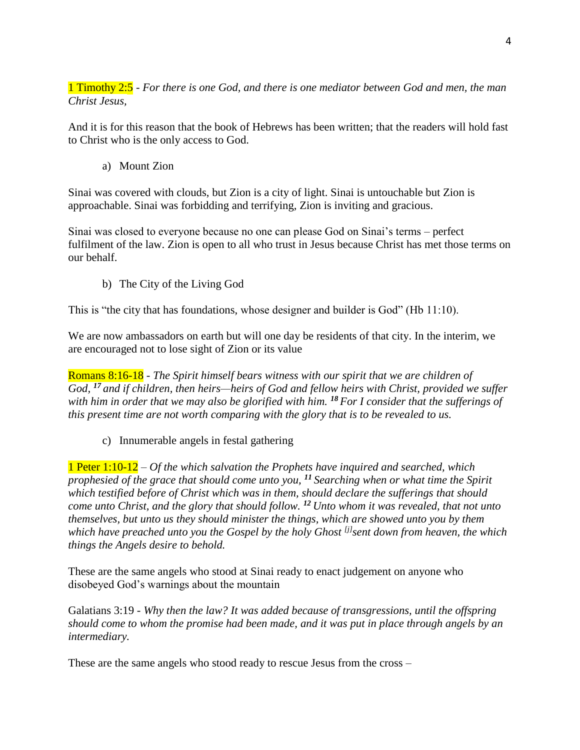1 Timothy 2:5 - *For there is one God, and there is one mediator between God and men, the man Christ Jesus,*

And it is for this reason that the book of Hebrews has been written; that the readers will hold fast to Christ who is the only access to God.

a) Mount Zion

Sinai was covered with clouds, but Zion is a city of light. Sinai is untouchable but Zion is approachable. Sinai was forbidding and terrifying, Zion is inviting and gracious.

Sinai was closed to everyone because no one can please God on Sinai's terms – perfect fulfilment of the law. Zion is open to all who trust in Jesus because Christ has met those terms on our behalf.

b) The City of the Living God

This is "the city that has foundations, whose designer and builder is God" (Hb 11:10).

We are now ambassadors on earth but will one day be residents of that city. In the interim, we are encouraged not to lose sight of Zion or its value

Romans 8:16-18 - *The Spirit himself bears witness with our spirit that we are children of God, <sup>17</sup> and if children, then heirs—heirs of God and fellow heirs with Christ, provided we suffer with him in order that we may also be glorified with him. <sup>18</sup> For I consider that the sufferings of this present time are not worth comparing with the glory that is to be revealed to us.*

c) Innumerable angels in festal gathering

1 Peter 1:10-12 *– Of the which salvation the Prophets have inquired and searched, which prophesied of the grace that should come unto you, <sup>11</sup> Searching when or what time the Spirit which testified before of Christ which was in them, should declare the sufferings that should come unto Christ, and the glory that should follow. <sup>12</sup> Unto whom it was revealed, that not unto themselves, but unto us they should minister the things, which are showed unto you by them which have preached unto you the Gospel by the holy Ghost [\[j\]](https://www.biblegateway.com/passage/?search=1+peter+1&version=GNV#fen-GNV-30375j) sent down from heaven, the which things the Angels desire to behold.*

These are the same angels who stood at Sinai ready to enact judgement on anyone who disobeyed God's warnings about the mountain

Galatians 3:19 - *Why then the law? It was added because of transgressions, until the offspring should come to whom the promise had been made, and it was put in place through angels by an intermediary.*

These are the same angels who stood ready to rescue Jesus from the cross –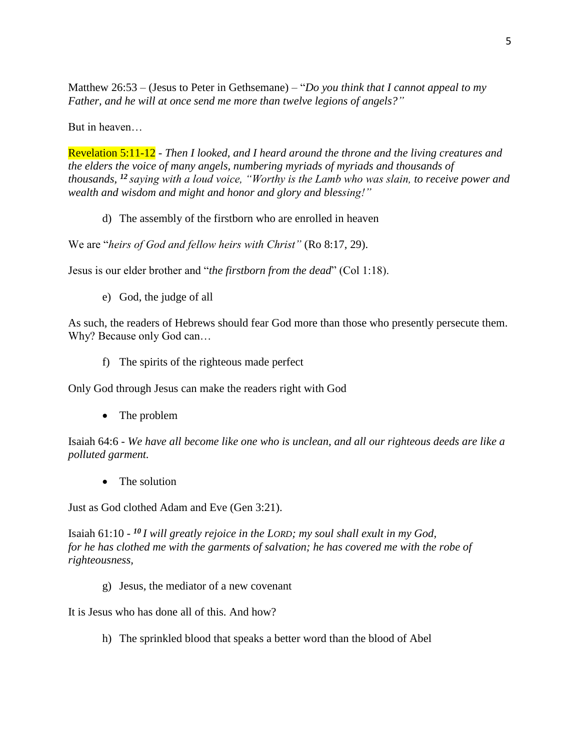Matthew 26:53 – (Jesus to Peter in Gethsemane) – "*Do you think that I cannot appeal to my Father, and he will at once send me more than twelve legions of angels?"*

But in heaven…

Revelation 5:11-12 - *Then I looked, and I heard around the throne and the living creatures and the elders the voice of many angels, numbering myriads of myriads and thousands of thousands, <sup>12</sup> saying with a loud voice, "Worthy is the Lamb who was slain, to receive power and wealth and wisdom and might and honor and glory and blessing!"*

d) The assembly of the firstborn who are enrolled in heaven

We are "*heirs of God and fellow heirs with Christ"* (Ro 8:17, 29).

Jesus is our elder brother and "*the firstborn from the dead*" (Col 1:18).

e) God, the judge of all

As such, the readers of Hebrews should fear God more than those who presently persecute them. Why? Because only God can…

f) The spirits of the righteous made perfect

Only God through Jesus can make the readers right with God

• The problem

Isaiah 64:6 - *We have all become like one who is unclean, and all our righteous deeds are like a polluted garment.*

• The solution

Just as God clothed Adam and Eve (Gen 3:21).

Isaiah 61:10 - *<sup>10</sup> I will greatly rejoice in the LORD; my soul shall exult in my God, for he has clothed me with the garments of salvation; he has covered me with the robe of righteousness,*

g) Jesus, the mediator of a new covenant

It is Jesus who has done all of this. And how?

h) The sprinkled blood that speaks a better word than the blood of Abel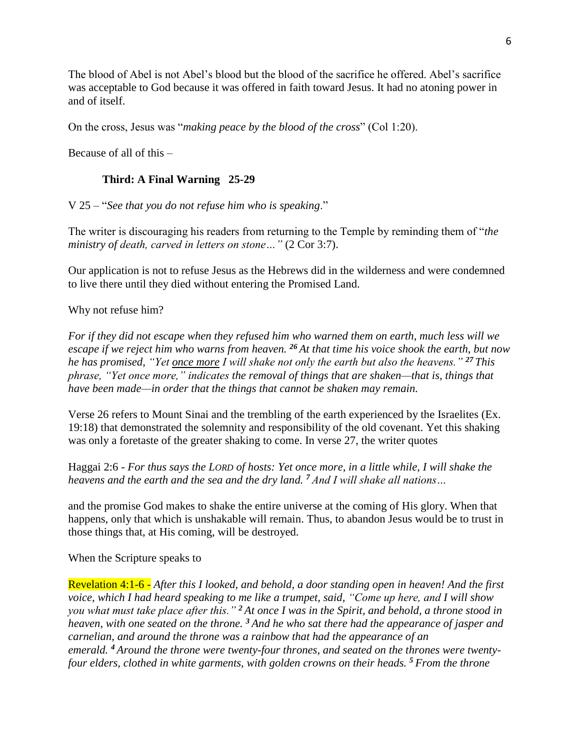The blood of Abel is not Abel's blood but the blood of the sacrifice he offered. Abel's sacrifice was acceptable to God because it was offered in faith toward Jesus. It had no atoning power in and of itself.

On the cross, Jesus was "*making peace by the blood of the cross*" (Col 1:20).

Because of all of this –

# **Third: A Final Warning 25-29**

V 25 – "*See that you do not refuse him who is speaking*."

The writer is discouraging his readers from returning to the Temple by reminding them of "*the ministry of death, carved in letters on stone…"* (2 Cor 3:7).

Our application is not to refuse Jesus as the Hebrews did in the wilderness and were condemned to live there until they died without entering the Promised Land.

Why not refuse him?

*For if they did not escape when they refused him who warned them on earth, much less will we escape if we reject him who warns from heaven. <sup>26</sup> At that time his voice shook the earth, but now he has promised, "Yet once more I will shake not only the earth but also the heavens." <sup>27</sup> This phrase, "Yet once more," indicates the removal of things that are shaken—that is, things that have been made—in order that the things that cannot be shaken may remain.*

Verse 26 refers to Mount Sinai and the trembling of the earth experienced by the Israelites (Ex. 19:18) that demonstrated the solemnity and responsibility of the old covenant. Yet this shaking was only a foretaste of the greater shaking to come. In verse 27, the writer quotes

Haggai 2:6 - *For thus says the LORD of hosts: Yet once more, in a little while, I will shake the heavens and the earth and the sea and the dry land. <sup>7</sup> And I will shake all nations…*

and the promise God makes to shake the entire universe at the coming of His glory. When that happens, only that which is unshakable will remain. Thus, to abandon Jesus would be to trust in those things that, at His coming, will be destroyed.

## When the Scripture speaks to

Revelation 4:1-6 - *After this I looked, and behold, a door standing open in heaven! And the first voice, which I had heard speaking to me like a trumpet, said, "Come up here, and I will show you what must take place after this." <sup>2</sup> At once I was in the Spirit, and behold, a throne stood in heaven, with one seated on the throne. <sup>3</sup> And he who sat there had the appearance of jasper and carnelian, and around the throne was a rainbow that had the appearance of an emerald. <sup>4</sup> Around the throne were twenty-four thrones, and seated on the thrones were twentyfour elders, clothed in white garments, with golden crowns on their heads. <sup>5</sup> From the throne*